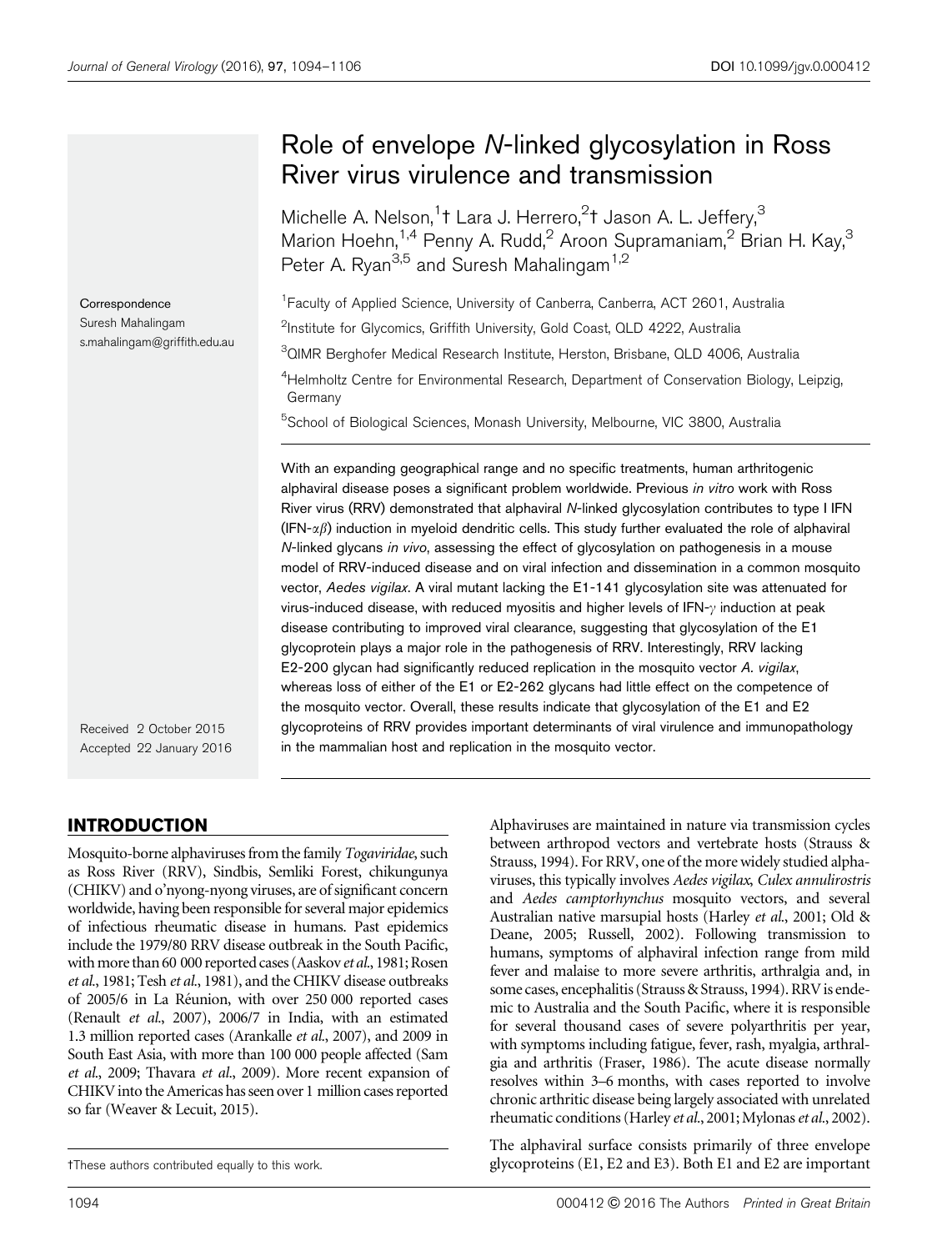# Role of envelope N-linked glycosylation in Ross River virus virulence and transmission

Michelle A. Nelson,<sup>1</sup>t Lara J. Herrero,<sup>2</sup>t Jason A. L. Jeffery,<sup>3</sup> Marion Hoehn,<sup>1,4</sup> Penny A. Rudd,<sup>2</sup> Aroon Supramaniam,<sup>2</sup> Brian H. Kay,<sup>3</sup> Peter A. Ryan<sup>3,5</sup> and Suresh Mahalingam<sup>1,2</sup>

<sup>1</sup> Faculty of Applied Science, University of Canberra, Canberra, ACT 2601, Australia <sup>2</sup>Institute for Glycomics, Griffith University, Gold Coast, QLD 4222, Australia <sup>3</sup>QIMR Berghofer Medical Research Institute, Herston, Brisbane, QLD 4006, Australia

<sup>4</sup>Helmholtz Centre for Environmental Research, Department of Conservation Biology, Leipzig, Germany

<sup>5</sup>School of Biological Sciences, Monash University, Melbourne, VIC 3800, Australia

With an expanding geographical range and no specific treatments, human arthritogenic alphaviral disease poses a significant problem worldwide. Previous in vitro work with Ross River virus (RRV) demonstrated that alphaviral N-linked glycosylation contributes to type I IFN  $(IFN-\alpha\beta)$  induction in myeloid dendritic cells. This study further evaluated the role of alphaviral N-linked glycans in vivo, assessing the effect of glycosylation on pathogenesis in a mouse model of RRV-induced disease and on viral infection and dissemination in a common mosquito vector, Aedes vigilax. A viral mutant lacking the E1-141 glycosylation site was attenuated for virus-induced disease, with reduced myositis and higher levels of IFN- $\gamma$  induction at peak disease contributing to improved viral clearance, suggesting that glycosylation of the E1 glycoprotein plays a major role in the pathogenesis of RRV. Interestingly, RRV lacking E2-200 glycan had significantly reduced replication in the mosquito vector A. vigilax, whereas loss of either of the E1 or E2-262 glycans had little effect on the competence of the mosquito vector. Overall, these results indicate that glycosylation of the E1 and E2 glycoproteins of RRV provides important determinants of viral virulence and immunopathology in the mammalian host and replication in the mosquito vector.

Received 2 October 2015 Accepted 22 January 2016

Correspondence Suresh Mahalingam s.mahalingam@griffith.edu.au

## INTRODUCTION

Mosquito-borne alphaviruses from the family Togaviridae, such as Ross River (RRV), Sindbis, Semliki Forest, chikungunya (CHIKV) and o'nyong-nyong viruses, are of significant concern worldwide, having been responsible for several major epidemics of infectious rheumatic disease in humans. Past epidemics include the 1979/80 RRV disease outbreak in the South Pacific, with more than 60 000 reported cases (Aaskov et al., 1981; Rosen et al., 1981; Tesh et al., 1981), and the CHIKV disease outbreaks of 2005/6 in La Réunion, with over 250 000 reported cases (Renault et al., 2007), 2006/7 in India, with an estimated 1.3 million reported cases (Arankalle et al., 2007), and 2009 in South East Asia, with more than 100 000 people affected (Sam et al., 2009; Thavara et al., 2009). More recent expansion of CHIKV into the Americas has seen over 1 million cases reported so far (Weaver & Lecuit, 2015).

Alphaviruses are maintained in nature via transmission cycles between arthropod vectors and vertebrate hosts (Strauss & Strauss, 1994). For RRV, one of the more widely studied alphaviruses, this typically involves Aedes vigilax, Culex annulirostris and Aedes camptorhynchus mosquito vectors, and several Australian native marsupial hosts (Harley et al., 2001; Old & Deane, 2005; Russell, 2002). Following transmission to humans, symptoms of alphaviral infection range from mild fever and malaise to more severe arthritis, arthralgia and, in some cases, encephalitis (Strauss & Strauss, 1994). RRV is endemic to Australia and the South Pacific, where it is responsible for several thousand cases of severe polyarthritis per year, with symptoms including fatigue, fever, rash, myalgia, arthralgia and arthritis (Fraser, 1986). The acute disease normally resolves within 3–6 months, with cases reported to involve chronic arthritic disease being largely associated with unrelated rheumatic conditions (Harley et al., 2001; Mylonas et al., 2002).

The alphaviral surface consists primarily of three envelope 3These authors contributed equally to this work. glycoproteins (E1, E2 and E3). Both E1 and E2 are important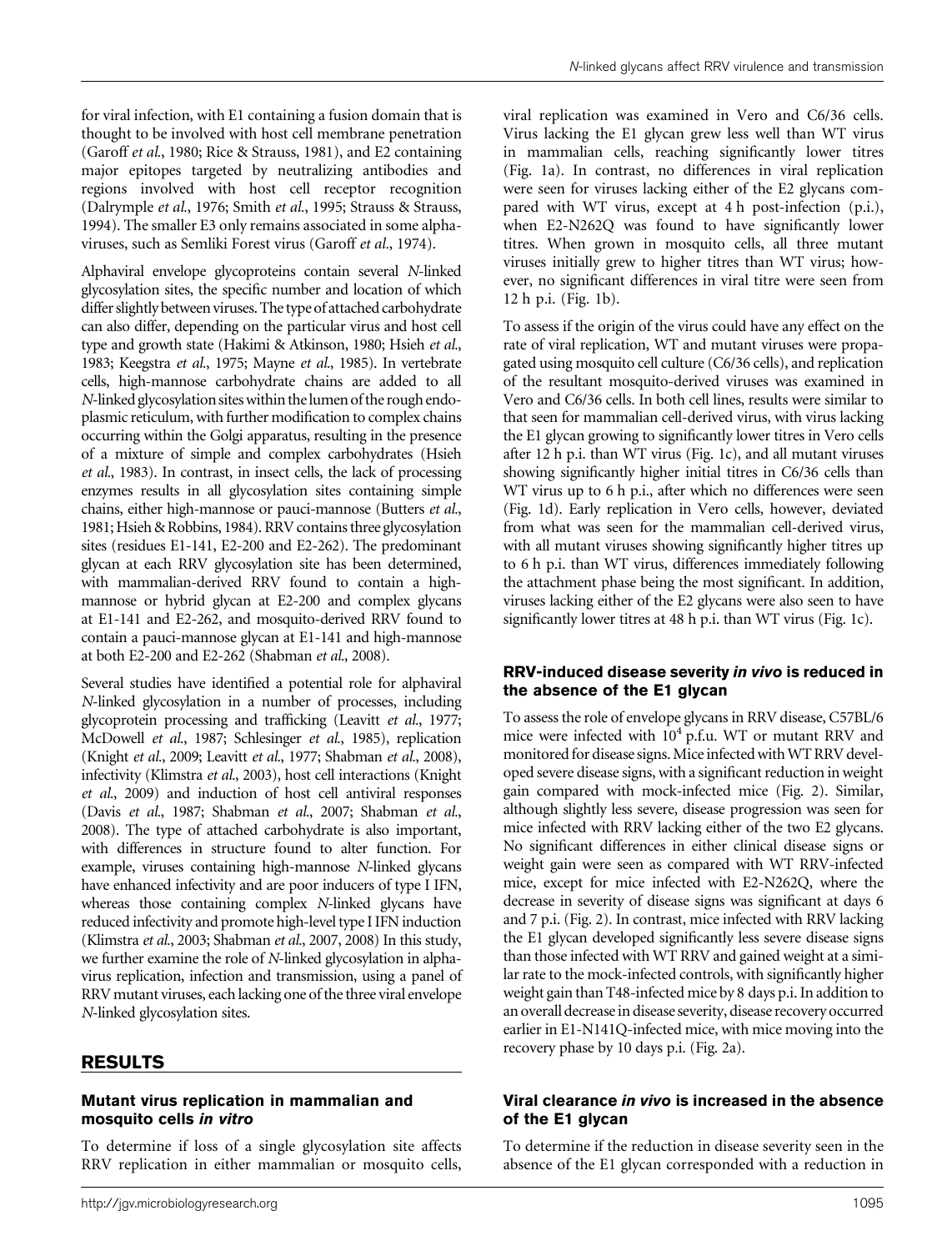for viral infection, with E1 containing a fusion domain that is thought to be involved with host cell membrane penetration (Garoff et al., 1980; Rice & Strauss, 1981), and E2 containing major epitopes targeted by neutralizing antibodies and regions involved with host cell receptor recognition (Dalrymple et al., 1976; Smith et al., 1995; Strauss & Strauss, 1994). The smaller E3 only remains associated in some alphaviruses, such as Semliki Forest virus (Garoff et al., 1974).

Alphaviral envelope glycoproteins contain several N-linked glycosylation sites, the specific number and location of which differ slightly between viruses. The type of attached carbohydrate can also differ, depending on the particular virus and host cell type and growth state (Hakimi & Atkinson, 1980; Hsieh et al., 1983; Keegstra et al., 1975; Mayne et al., 1985). In vertebrate cells, high-mannose carbohydrate chains are added to all N-linked glycosylation sites within the lumen of the rough endoplasmic reticulum, with further modification to complex chains occurring within the Golgi apparatus, resulting in the presence of a mixture of simple and complex carbohydrates (Hsieh et al., 1983). In contrast, in insect cells, the lack of processing enzymes results in all glycosylation sites containing simple chains, either high-mannose or pauci-mannose (Butters et al., 1981; Hsieh & Robbins, 1984). RRV contains three glycosylation sites (residues E1-141, E2-200 and E2-262). The predominant glycan at each RRV glycosylation site has been determined, with mammalian-derived RRV found to contain a highmannose or hybrid glycan at E2-200 and complex glycans at E1-141 and E2-262, and mosquito-derived RRV found to contain a pauci-mannose glycan at E1-141 and high-mannose at both E2-200 and E2-262 (Shabman et al., 2008).

Several studies have identified a potential role for alphaviral N-linked glycosylation in a number of processes, including glycoprotein processing and trafficking (Leavitt et al., 1977; McDowell et al., 1987; Schlesinger et al., 1985), replication (Knight et al., 2009; Leavitt et al., 1977; Shabman et al., 2008), infectivity (Klimstra et al., 2003), host cell interactions (Knight et al., 2009) and induction of host cell antiviral responses (Davis et al., 1987; Shabman et al., 2007; Shabman et al., 2008). The type of attached carbohydrate is also important, with differences in structure found to alter function. For example, viruses containing high-mannose N-linked glycans have enhanced infectivity and are poor inducers of type I IFN, whereas those containing complex N-linked glycans have reduced infectivity and promote high-level type I IFN induction (Klimstra et al., 2003; Shabman et al., 2007, 2008) In this study, we further examine the role of N-linked glycosylation in alphavirus replication, infection and transmission, using a panel of RRV mutant viruses, each lacking one of the three viral envelope N-linked glycosylation sites.

### RESULTS

#### Mutant virus replication in mammalian and mosquito cells in vitro

To determine if loss of a single glycosylation site affects RRV replication in either mammalian or mosquito cells, viral replication was examined in Vero and C6/36 cells. Virus lacking the E1 glycan grew less well than WT virus in mammalian cells, reaching significantly lower titres (Fig. 1a). In contrast, no differences in viral replication were seen for viruses lacking either of the E2 glycans compared with WT virus, except at 4 h post-infection (p.i.), when E2-N262Q was found to have significantly lower titres. When grown in mosquito cells, all three mutant viruses initially grew to higher titres than WT virus; however, no significant differences in viral titre were seen from 12 h p.i. (Fig. 1b).

To assess if the origin of the virus could have any effect on the rate of viral replication, WT and mutant viruses were propagated using mosquito cell culture (C6/36 cells), and replication of the resultant mosquito-derived viruses was examined in Vero and C6/36 cells. In both cell lines, results were similar to that seen for mammalian cell-derived virus, with virus lacking the E1 glycan growing to significantly lower titres in Vero cells after 12 h p.i. than WT virus (Fig. 1c), and all mutant viruses showing significantly higher initial titres in C6/36 cells than WT virus up to 6 h p.i., after which no differences were seen (Fig. 1d). Early replication in Vero cells, however, deviated from what was seen for the mammalian cell-derived virus, with all mutant viruses showing significantly higher titres up to 6 h p.i. than WT virus, differences immediately following the attachment phase being the most significant. In addition, viruses lacking either of the E2 glycans were also seen to have significantly lower titres at 48 h p.i. than WT virus (Fig. 1c).

#### RRV-induced disease severity in vivo is reduced in the absence of the E1 glycan

To assess the role of envelope glycans in RRV disease, C57BL/6 mice were infected with  $10^4$  p.f.u. WT or mutant RRV and monitored for disease signs. Mice infected with WT RRV developed severe disease signs, with a significant reduction in weight gain compared with mock-infected mice (Fig. 2). Similar, although slightly less severe, disease progression was seen for mice infected with RRV lacking either of the two E2 glycans. No significant differences in either clinical disease signs or weight gain were seen as compared with WT RRV-infected mice, except for mice infected with E2-N262Q, where the decrease in severity of disease signs was significant at days 6 and 7 p.i. (Fig. 2). In contrast, mice infected with RRV lacking the E1 glycan developed significantly less severe disease signs than those infected with WT RRV and gained weight at a similar rate to the mock-infected controls, with significantly higher weight gain than T48-infected mice by 8 days p.i. In addition to an overall decrease in disease severity, disease recovery occurred earlier in E1-N141Q-infected mice, with mice moving into the recovery phase by 10 days p.i. (Fig. 2a).

#### Viral clearance in vivo is increased in the absence of the E1 glycan

To determine if the reduction in disease severity seen in the absence of the E1 glycan corresponded with a reduction in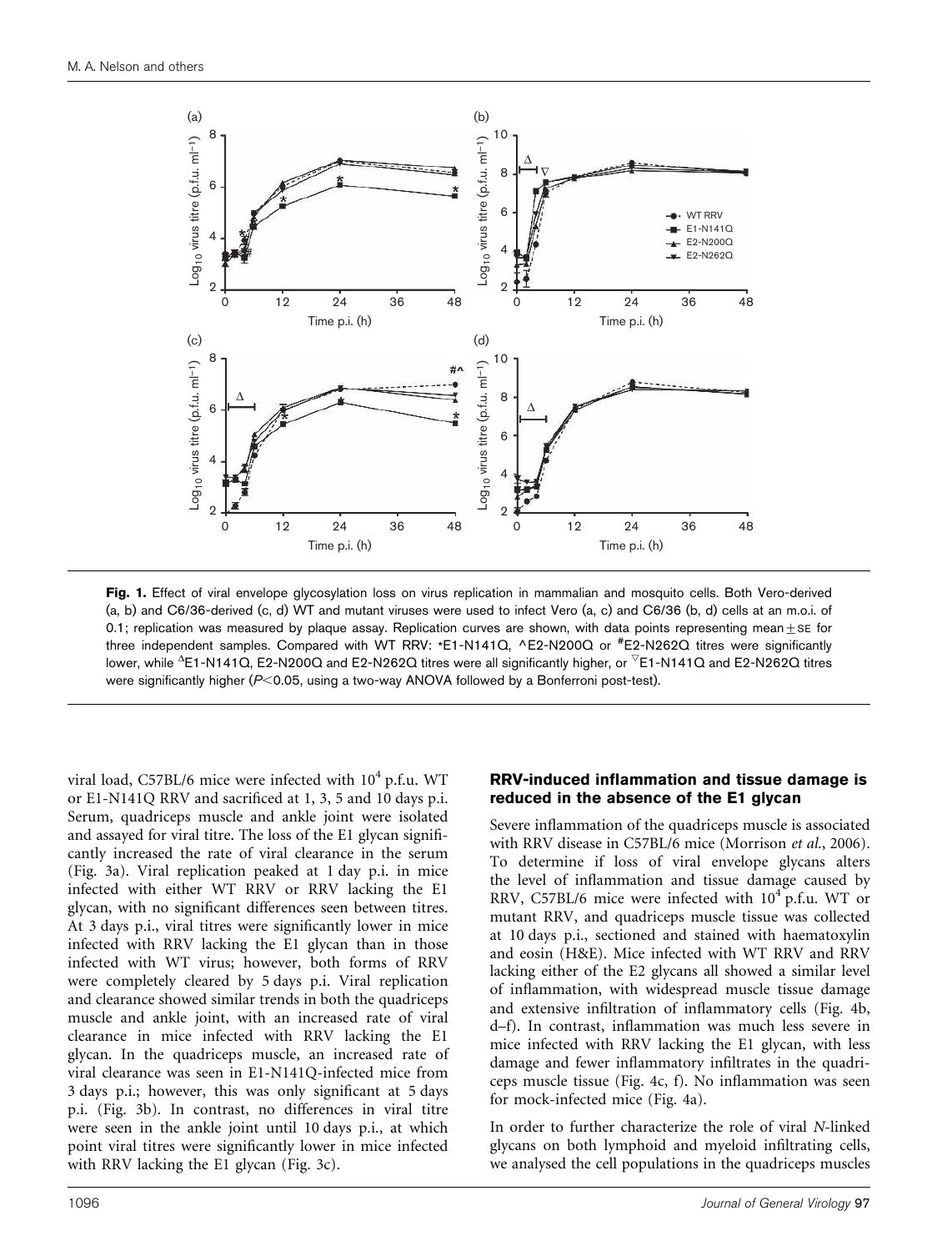

Fig. 1. Effect of viral envelope glycosylation loss on virus replication in mammalian and mosquito cells. Both Vero-derived (a, b) and C6/36-derived (c, d) WT and mutant viruses were used to infect Vero (a, c) and C6/36 (b, d) cells at an m.o.i. of 0.1; replication was measured by plaque assay. Replication curves are shown, with data points representing mean +  $SE$  for three independent samples. Compared with WT RRV: \*E1-N141Q, ^E2-N200Q or <sup>#</sup>E2-N262Q titres were significantly lower, while  $^{\Delta}$ E1-N141Q, E2-N200Q and E2-N262Q titres were all significantly higher, or  $^{\triangledown}$ E1-N141Q and E2-N262Q titres were significantly higher ( $P<$ 0.05, using a two-way ANOVA followed by a Bonferroni post-test).

viral load, C57BL/6 mice were infected with  $10^4$  p.f.u. WT or E1-N141Q RRV and sacrificed at 1, 3, 5 and 10 days p.i. Serum, quadriceps muscle and ankle joint were isolated and assayed for viral titre. The loss of the E1 glycan significantly increased the rate of viral clearance in the serum (Fig. 3a). Viral replication peaked at 1 day p.i. in mice infected with either WT RRV or RRV lacking the E1 glycan, with no significant differences seen between titres. At 3 days p.i., viral titres were significantly lower in mice infected with RRV lacking the E1 glycan than in those infected with WT virus; however, both forms of RRV were completely cleared by 5 days p.i. Viral replication and clearance showed similar trends in both the quadriceps muscle and ankle joint, with an increased rate of viral clearance in mice infected with RRV lacking the E1 glycan. In the quadriceps muscle, an increased rate of viral clearance was seen in E1-N141Q-infected mice from 3 days p.i.; however, this was only significant at 5 days p.i. (Fig. 3b). In contrast, no differences in viral titre were seen in the ankle joint until 10 days p.i., at which point viral titres were significantly lower in mice infected with RRV lacking the E1 glycan (Fig. 3c).

#### RRV-induced inflammation and tissue damage is reduced in the absence of the E1 glycan

Severe inflammation of the quadriceps muscle is associated with RRV disease in C57BL/6 mice (Morrison et al., 2006). To determine if loss of viral envelope glycans alters the level of inflammation and tissue damage caused by RRV, C57BL/6 mice were infected with  $10^4$  p.f.u. WT or mutant RRV, and quadriceps muscle tissue was collected at 10 days p.i., sectioned and stained with haematoxylin and eosin (H&E). Mice infected with WT RRV and RRV lacking either of the E2 glycans all showed a similar level of inflammation, with widespread muscle tissue damage and extensive infiltration of inflammatory cells (Fig. 4b, d–f). In contrast, inflammation was much less severe in mice infected with RRV lacking the E1 glycan, with less damage and fewer inflammatory infiltrates in the quadriceps muscle tissue (Fig. 4c, f). No inflammation was seen for mock-infected mice (Fig. 4a).

In order to further characterize the role of viral N-linked glycans on both lymphoid and myeloid infiltrating cells, we analysed the cell populations in the quadriceps muscles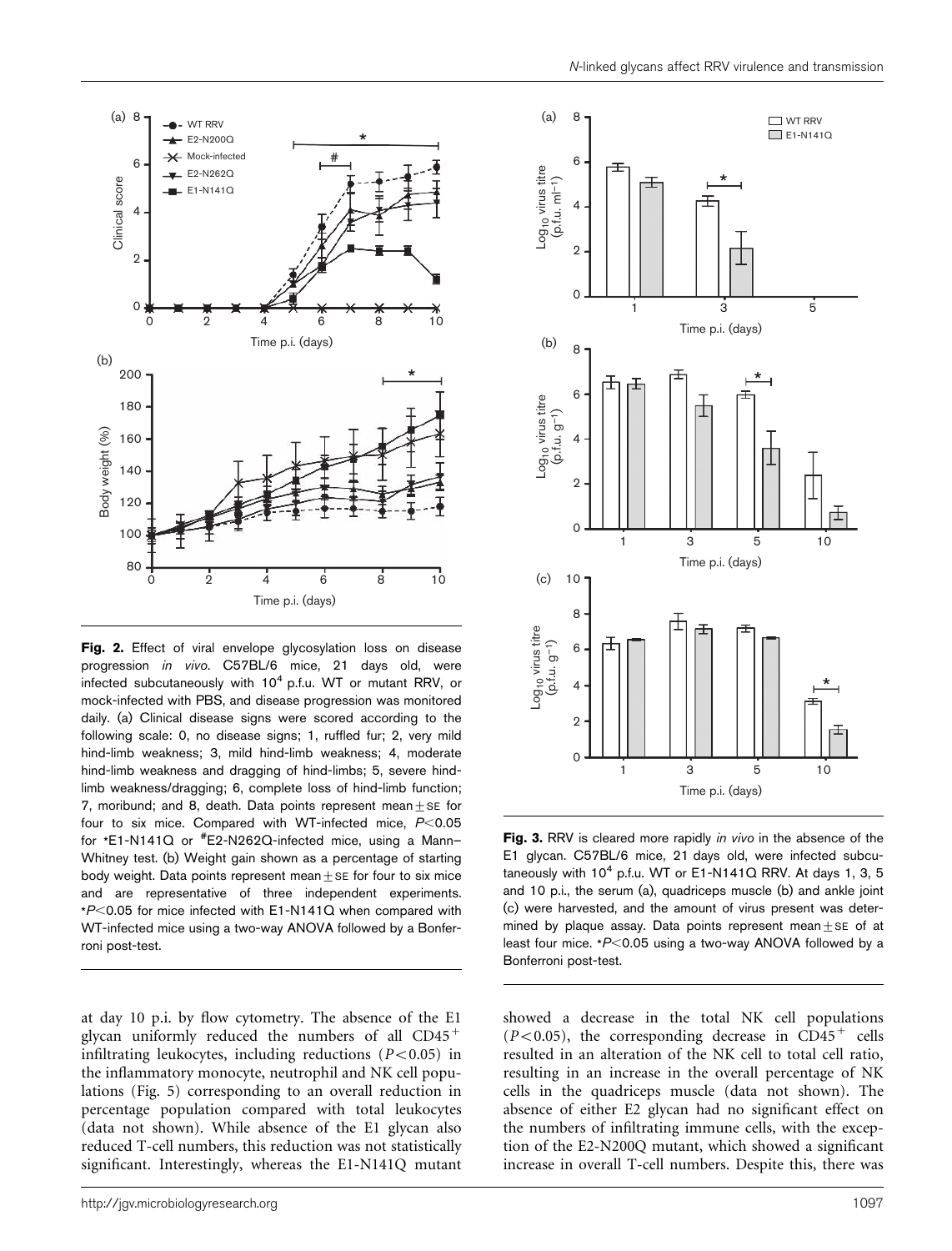

Fig. 2. Effect of viral envelope glycosylation loss on disease progression in vivo. C57BL/6 mice, 21 days old, were infected subcutaneously with  $10^4$  p.f.u. WT or mutant RRV, or mock-infected with PBS, and disease progression was monitored daily. (a) Clinical disease signs were scored according to the following scale: 0, no disease signs; 1, ruffled fur; 2, very mild hind-limb weakness; 3, mild hind-limb weakness; 4, moderate hind-limb weakness and dragging of hind-limbs; 5, severe hindlimb weakness/dragging; 6, complete loss of hind-limb function; 7, moribund; and 8, death. Data points represent mean  $+$  SE for four to six mice. Compared with WT-infected mice,  $P<0.05$ for \*E1-N141Q or # E2-N262Q-infected mice, using a Mann– Whitney test. (b) Weight gain shown as a percentage of starting body weight. Data points represent mean $+$ SE for four to six mice and are representative of three independent experiments.  $*P$ <0.05 for mice infected with E1-N141Q when compared with WT-infected mice using a two-way ANOVA followed by a Bonferroni post-test.

at day 10 p.i. by flow cytometry. The absence of the E1 glycan uniformly reduced the numbers of all  $CD45<sup>+</sup>$ infiltrating leukocytes, including reductions  $(P<0.05)$  in the inflammatory monocyte, neutrophil and NK cell populations (Fig. 5) corresponding to an overall reduction in percentage population compared with total leukocytes (data not shown). While absence of the E1 glycan also reduced T-cell numbers, this reduction was not statistically significant. Interestingly, whereas the E1-N141Q mutant



Fig. 3. RRV is cleared more rapidly *in vivo* in the absence of the E1 glycan. C57BL/6 mice, 21 days old, were infected subcutaneously with  $10^4$  p.f.u. WT or E1-N141Q RRV. At days 1, 3, 5 and 10 p.i., the serum (a), quadriceps muscle (b) and ankle joint (c) were harvested, and the amount of virus present was determined by plaque assay. Data points represent mean  $+$  se of at least four mice.  $*P<0.05$  using a two-way ANOVA followed by a Bonferroni post-test.

showed a decrease in the total NK cell populations  $(P<0.05)$ , the corresponding decrease in CD45<sup>+</sup> cells resulted in an alteration of the NK cell to total cell ratio, resulting in an increase in the overall percentage of NK cells in the quadriceps muscle (data not shown). The absence of either E2 glycan had no significant effect on the numbers of infiltrating immune cells, with the exception of the E2-N200Q mutant, which showed a significant increase in overall T-cell numbers. Despite this, there was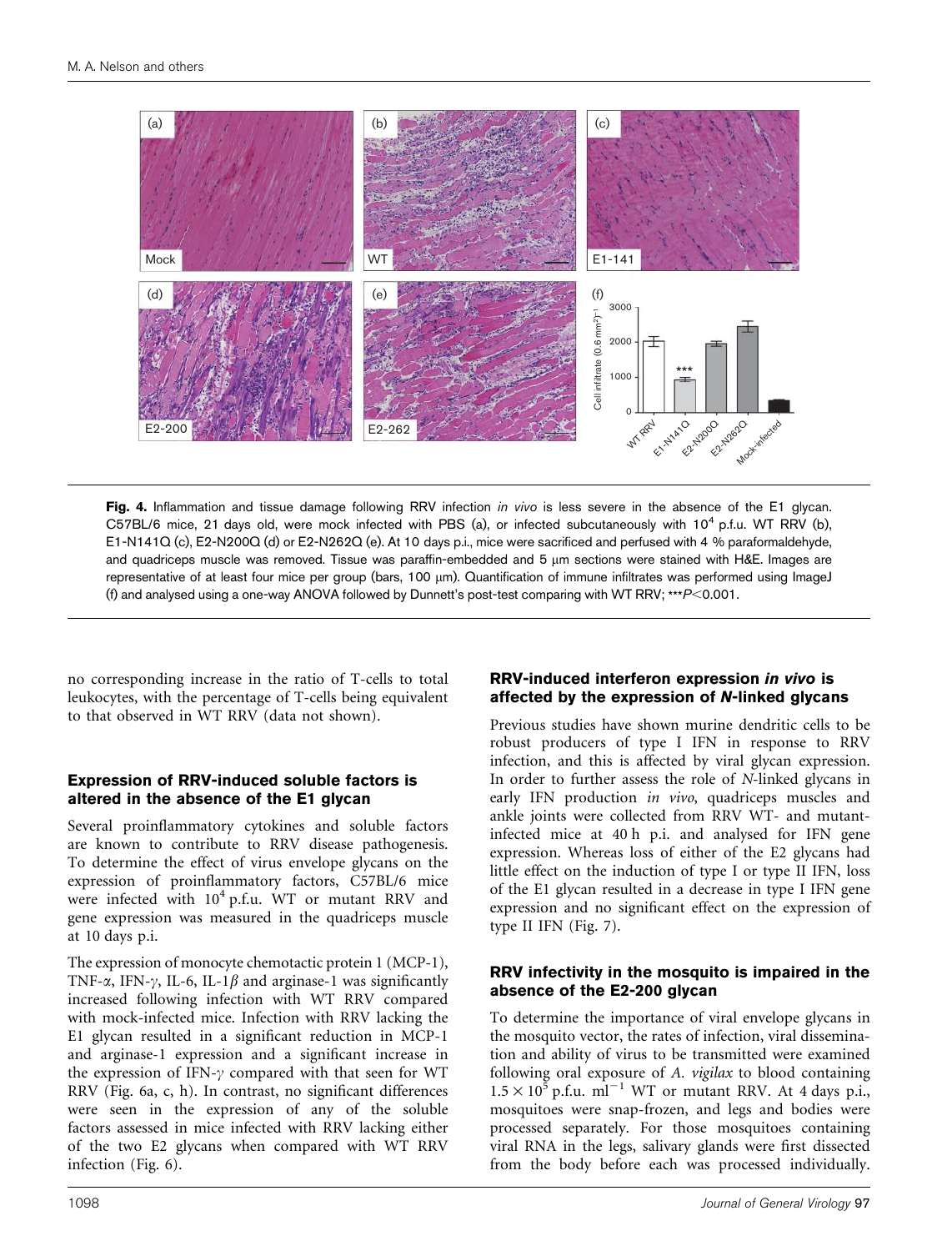

Fig. 4. Inflammation and tissue damage following RRV infection in vivo is less severe in the absence of the E1 glycan. C57BL/6 mice, 21 days old, were mock infected with PBS (a), or infected subcutaneously with  $10^4$  p.f.u. WT RRV (b), E1-N141Q (c), E2-N200Q (d) or E2-N262Q (e). At 10 days p.i., mice were sacrificed and perfused with 4 % paraformaldehyde, and quadriceps muscle was removed. Tissue was paraffin-embedded and 5 µm sections were stained with H&E. Images are representative of at least four mice per group (bars, 100 µm). Quantification of immune infiltrates was performed using ImageJ (f) and analysed using a one-way ANOVA followed by Dunnett's post-test comparing with WT RRV; \*\*\* $P< 0.001$ .

no corresponding increase in the ratio of T-cells to total leukocytes, with the percentage of T-cells being equivalent to that observed in WT RRV (data not shown).

#### Expression of RRV-induced soluble factors is altered in the absence of the E1 glycan

Several proinflammatory cytokines and soluble factors are known to contribute to RRV disease pathogenesis. To determine the effect of virus envelope glycans on the expression of proinflammatory factors, C57BL/6 mice were infected with 10<sup>4</sup> p.f.u. WT or mutant RRV and gene expression was measured in the quadriceps muscle at 10 days p.i.

The expression of monocyte chemotactic protein 1 (MCP-1), TNF- $\alpha$ , IFN- $\gamma$ , IL-6, IL-1 $\beta$  and arginase-1 was significantly increased following infection with WT RRV compared with mock-infected mice. Infection with RRV lacking the E1 glycan resulted in a significant reduction in MCP-1 and arginase-1 expression and a significant increase in the expression of IFN- $\gamma$  compared with that seen for WT RRV (Fig. 6a, c, h). In contrast, no significant differences were seen in the expression of any of the soluble factors assessed in mice infected with RRV lacking either of the two E2 glycans when compared with WT RRV infection (Fig. 6).

#### RRV-induced interferon expression in vivo is affected by the expression of N-linked glycans

Previous studies have shown murine dendritic cells to be robust producers of type I IFN in response to RRV infection, and this is affected by viral glycan expression. In order to further assess the role of N-linked glycans in early IFN production in vivo, quadriceps muscles and ankle joints were collected from RRV WT- and mutantinfected mice at 40 h p.i. and analysed for IFN gene expression. Whereas loss of either of the E2 glycans had little effect on the induction of type I or type II IFN, loss of the E1 glycan resulted in a decrease in type I IFN gene expression and no significant effect on the expression of type II IFN (Fig. 7).

#### RRV infectivity in the mosquito is impaired in the absence of the E2-200 glycan

To determine the importance of viral envelope glycans in the mosquito vector, the rates of infection, viral dissemination and ability of virus to be transmitted were examined following oral exposure of A. vigilax to blood containing  $1.5 \times 10^5$  p.f.u. ml<sup>-1</sup> WT or mutant RRV. At 4 days p.i., mosquitoes were snap-frozen, and legs and bodies were processed separately. For those mosquitoes containing viral RNA in the legs, salivary glands were first dissected from the body before each was processed individually.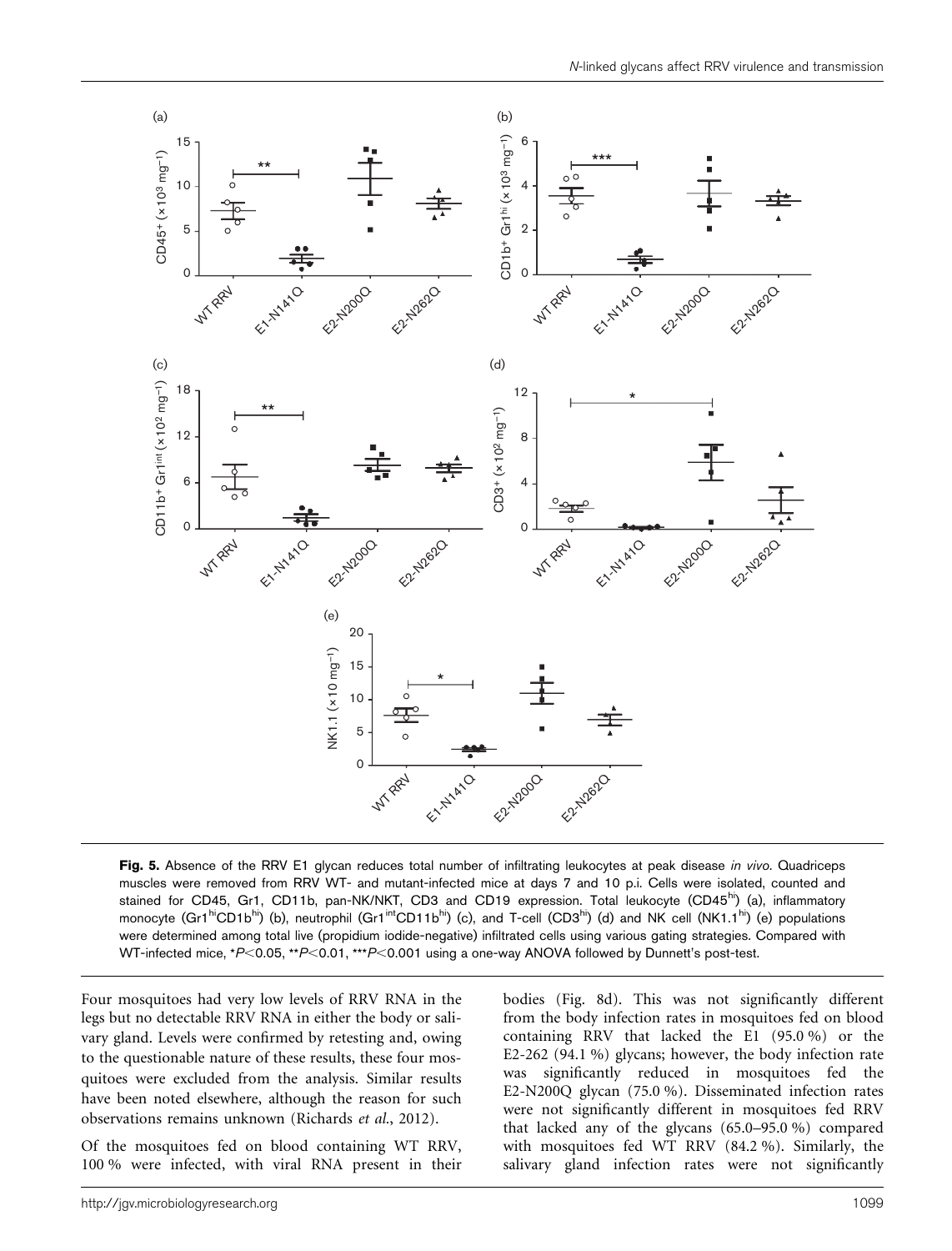

Fig. 5. Absence of the RRV E1 glycan reduces total number of infiltrating leukocytes at peak disease in vivo. Quadriceps muscles were removed from RRV WT- and mutant-infected mice at days 7 and 10 p.i. Cells were isolated, counted and stained for CD45, Gr1, CD11b, pan-NK/NKT, CD3 and CD19 expression. Total leukocyte (CD45<sup>hi</sup>) (a), inflammatory monocyte (Gr1<sup>hi</sup>CD1b<sup>hi</sup>) (b), neutrophil (Gr1<sup>int</sup>CD11b<sup>hi</sup>) (c), and T-cell (CD3<sup>hi</sup>) (d) and NK cell (NK1.1<sup>hi</sup>) (e) populations were determined among total live (propidium iodide-negative) infiltrated cells using various gating strategies. Compared with WT-infected mice, \*P<0.05, \*\*P<0.01, \*\*\*P<0.001 using a one-way ANOVA followed by Dunnett's post-test.

Four mosquitoes had very low levels of RRV RNA in the legs but no detectable RRV RNA in either the body or salivary gland. Levels were confirmed by retesting and, owing to the questionable nature of these results, these four mosquitoes were excluded from the analysis. Similar results have been noted elsewhere, although the reason for such observations remains unknown (Richards et al., 2012).

Of the mosquitoes fed on blood containing WT RRV, 100 % were infected, with viral RNA present in their bodies (Fig. 8d). This was not significantly different from the body infection rates in mosquitoes fed on blood containing RRV that lacked the E1 (95.0 %) or the E2-262 (94.1 %) glycans; however, the body infection rate was significantly reduced in mosquitoes fed the E2-N200Q glycan (75.0 %). Disseminated infection rates were not significantly different in mosquitoes fed RRV that lacked any of the glycans (65.0–95.0 %) compared with mosquitoes fed WT RRV (84.2 %). Similarly, the salivary gland infection rates were not significantly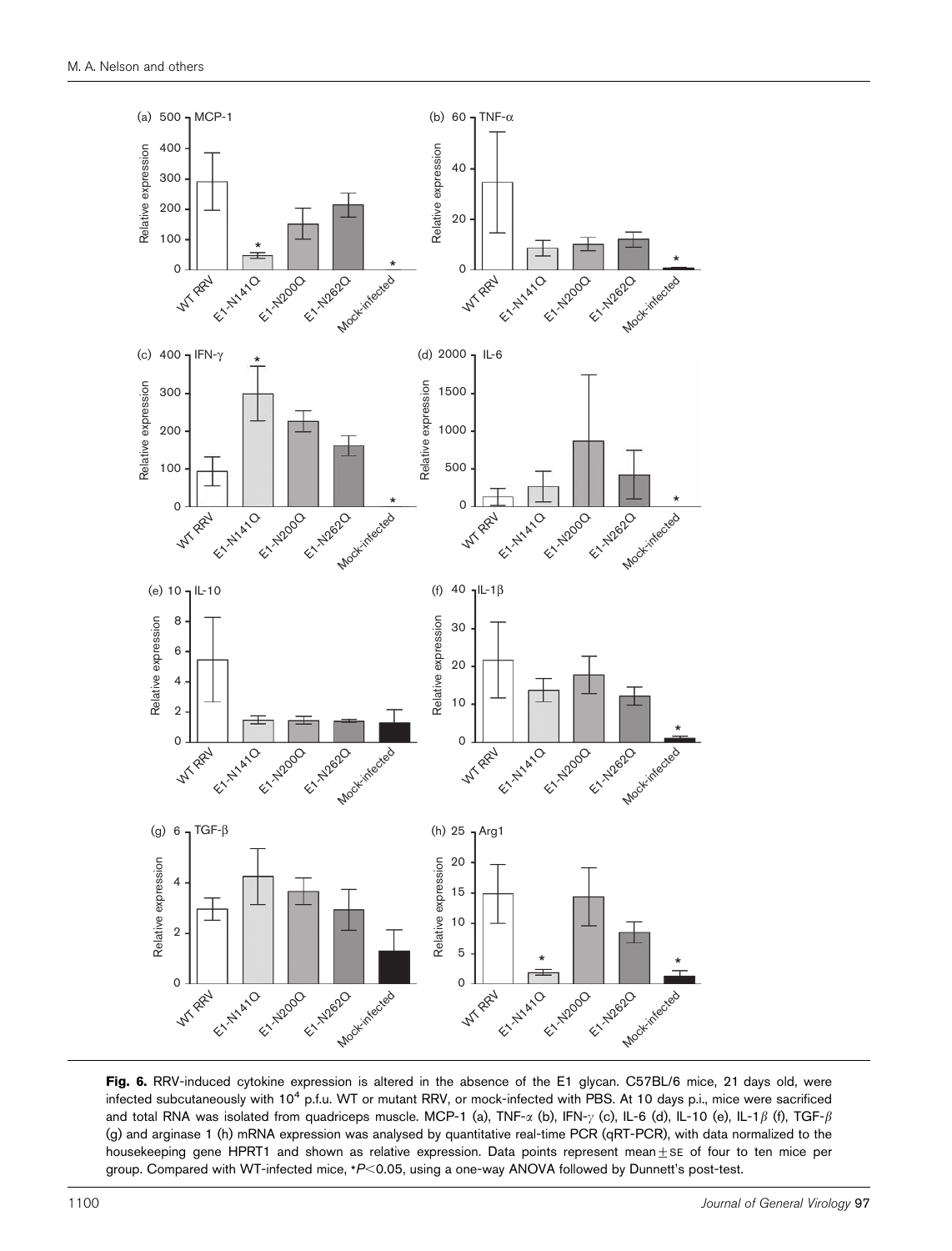

Fig. 6. RRV-induced cytokine expression is altered in the absence of the E1 glycan. C57BL/6 mice, 21 days old, were infected subcutaneously with 10<sup>4</sup> p.f.u. WT or mutant RRV, or mock-infected with PBS. At 10 days p.i., mice were sacrificed and total RNA was isolated from quadriceps muscle. MCP-1 (a), TNF- $\alpha$  (b), IFN- $\gamma$  (c), IL-6 (d), IL-10 (e), IL-1 $\beta$  (f), TGF- $\beta$ (g) and arginase 1 (h) mRNA expression was analysed by quantitative real-time PCR (qRT-PCR), with data normalized to the housekeeping gene HPRT1 and shown as relative expression. Data points represent mean $\pm$ se of four to ten mice per group. Compared with WT-infected mice, \*P<0.05, using a one-way ANOVA followed by Dunnett's post-test.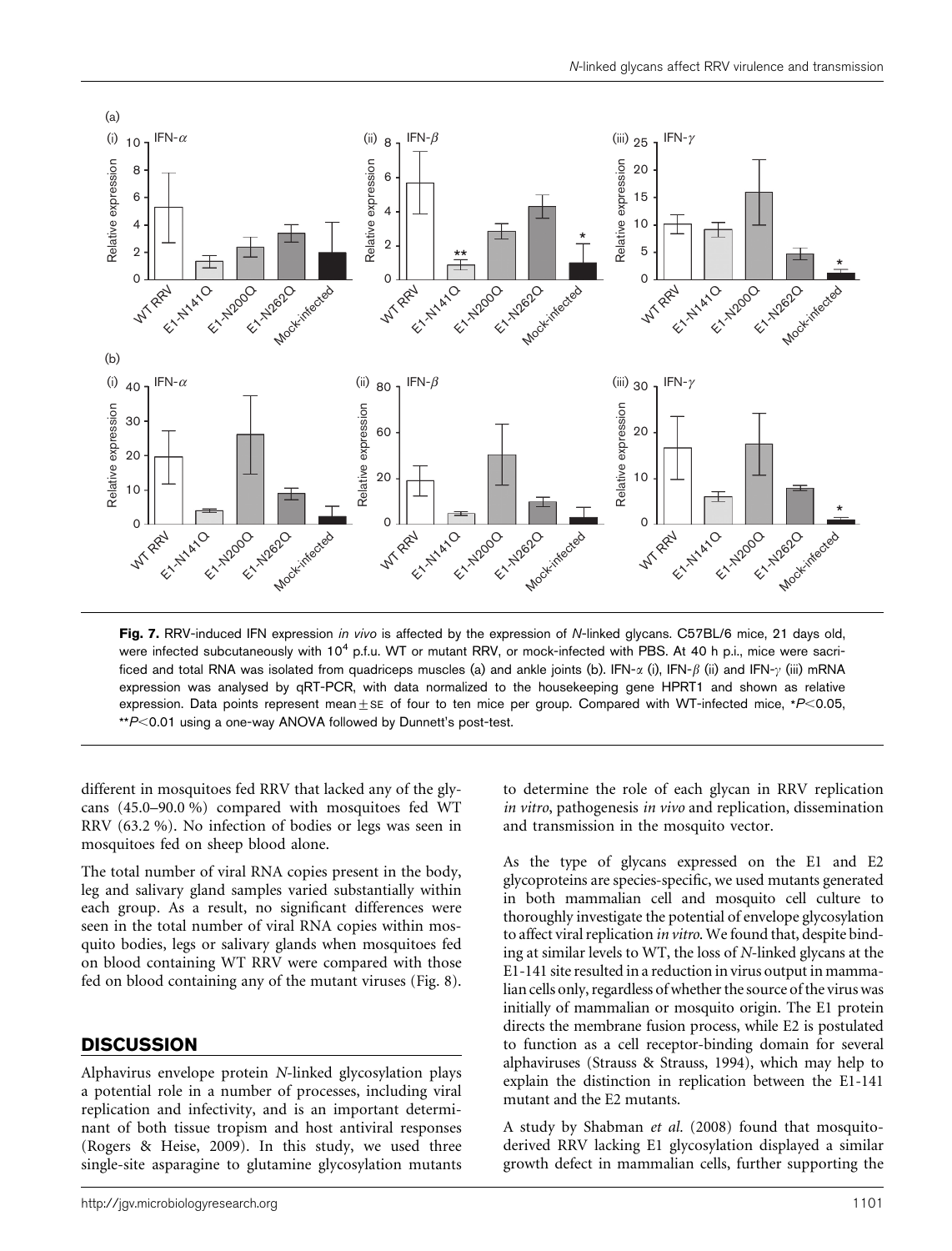

Fig. 7. RRV-induced IFN expression in vivo is affected by the expression of N-linked glycans. C57BL/6 mice, 21 days old, were infected subcutaneously with 10<sup>4</sup> p.f.u. WT or mutant RRV, or mock-infected with PBS. At 40 h p.i., mice were sacrificed and total RNA was isolated from quadriceps muscles (a) and ankle joints (b). IFN- $\alpha$  (i), IFN- $\beta$  (ii) and IFN- $\gamma$  (iii) mRNA expression was analysed by qRT-PCR, with data normalized to the housekeeping gene HPRT1 and shown as relative expression. Data points represent mean $\pm$ SE of four to ten mice per group. Compared with WT-infected mice, \*P<0.05,  $*P$ <0.01 using a one-way ANOVA followed by Dunnett's post-test.

different in mosquitoes fed RRV that lacked any of the glycans (45.0–90.0 %) compared with mosquitoes fed WT RRV (63.2 %). No infection of bodies or legs was seen in mosquitoes fed on sheep blood alone.

The total number of viral RNA copies present in the body, leg and salivary gland samples varied substantially within each group. As a result, no significant differences were seen in the total number of viral RNA copies within mosquito bodies, legs or salivary glands when mosquitoes fed on blood containing WT RRV were compared with those fed on blood containing any of the mutant viruses (Fig. 8).

### **DISCUSSION**

Alphavirus envelope protein N-linked glycosylation plays a potential role in a number of processes, including viral replication and infectivity, and is an important determinant of both tissue tropism and host antiviral responses (Rogers & Heise, 2009). In this study, we used three single-site asparagine to glutamine glycosylation mutants

http://jgv.microbiologyresearch.org 1101

to determine the role of each glycan in RRV replication in vitro, pathogenesis in vivo and replication, dissemination and transmission in the mosquito vector.

As the type of glycans expressed on the E1 and E2 glycoproteins are species-specific, we used mutants generated in both mammalian cell and mosquito cell culture to thoroughly investigate the potential of envelope glycosylation to affect viral replication in vitro. We found that, despite binding at similar levels to WT, the loss of N-linked glycans at the E1-141 site resulted in a reduction in virus output in mammalian cells only, regardless of whether the source of the virus was initially of mammalian or mosquito origin. The E1 protein directs the membrane fusion process, while E2 is postulated to function as a cell receptor-binding domain for several alphaviruses (Strauss & Strauss, 1994), which may help to explain the distinction in replication between the E1-141 mutant and the E2 mutants.

A study by Shabman et al. (2008) found that mosquitoderived RRV lacking E1 glycosylation displayed a similar growth defect in mammalian cells, further supporting the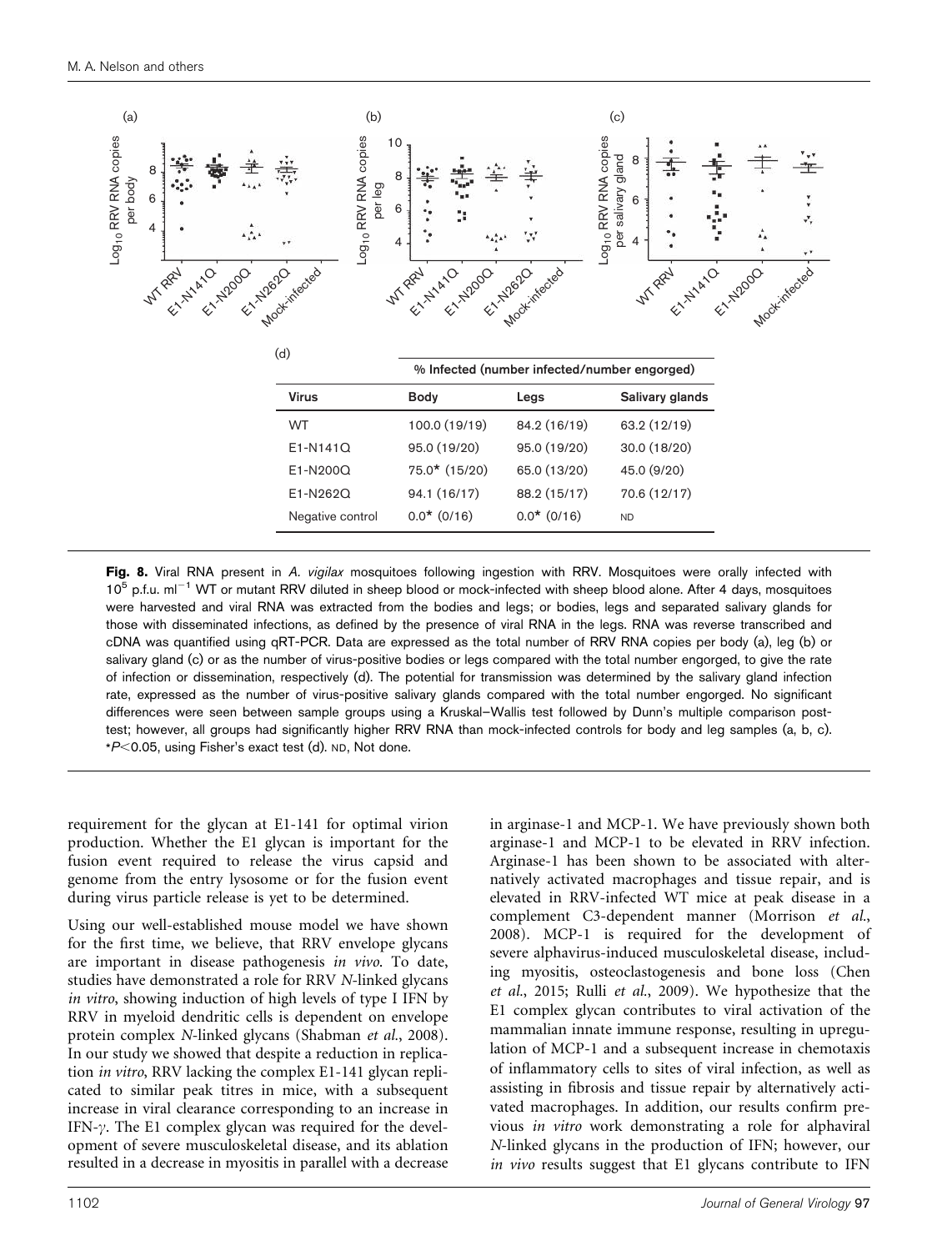

Fig. 8. Viral RNA present in A. vigilax mosquitoes following ingestion with RRV. Mosquitoes were orally infected with 10<sup>5</sup> p.f.u. ml<sup>-1</sup> WT or mutant RRV diluted in sheep blood or mock-infected with sheep blood alone. After 4 days, mosquitoes were harvested and viral RNA was extracted from the bodies and legs; or bodies, legs and separated salivary glands for those with disseminated infections, as defined by the presence of viral RNA in the legs. RNA was reverse transcribed and cDNA was quantified using qRT-PCR. Data are expressed as the total number of RRV RNA copies per body (a), leg (b) or salivary gland (c) or as the number of virus-positive bodies or legs compared with the total number engorged, to give the rate of infection or dissemination, respectively (d). The potential for transmission was determined by the salivary gland infection rate, expressed as the number of virus-positive salivary glands compared with the total number engorged. No significant differences were seen between sample groups using a Kruskal–Wallis test followed by Dunn's multiple comparison posttest; however, all groups had significantly higher RRV RNA than mock-infected controls for body and leg samples (a, b, c).  $*P<$ 0.05, using Fisher's exact test (d). ND, Not done.

requirement for the glycan at E1-141 for optimal virion production. Whether the E1 glycan is important for the fusion event required to release the virus capsid and genome from the entry lysosome or for the fusion event during virus particle release is yet to be determined.

Using our well-established mouse model we have shown for the first time, we believe, that RRV envelope glycans are important in disease pathogenesis in vivo. To date, studies have demonstrated a role for RRV N-linked glycans in vitro, showing induction of high levels of type I IFN by RRV in myeloid dendritic cells is dependent on envelope protein complex N-linked glycans (Shabman et al., 2008). In our study we showed that despite a reduction in replication in vitro, RRV lacking the complex E1-141 glycan replicated to similar peak titres in mice, with a subsequent increase in viral clearance corresponding to an increase in IFN- $\gamma$ . The E1 complex glycan was required for the development of severe musculoskeletal disease, and its ablation resulted in a decrease in myositis in parallel with a decrease

in arginase-1 and MCP-1. We have previously shown both arginase-1 and MCP-1 to be elevated in RRV infection. Arginase-1 has been shown to be associated with alternatively activated macrophages and tissue repair, and is elevated in RRV-infected WT mice at peak disease in a complement C3-dependent manner (Morrison et al., 2008). MCP-1 is required for the development of severe alphavirus-induced musculoskeletal disease, including myositis, osteoclastogenesis and bone loss (Chen et al., 2015; Rulli et al., 2009). We hypothesize that the E1 complex glycan contributes to viral activation of the mammalian innate immune response, resulting in upregulation of MCP-1 and a subsequent increase in chemotaxis of inflammatory cells to sites of viral infection, as well as assisting in fibrosis and tissue repair by alternatively activated macrophages. In addition, our results confirm previous in vitro work demonstrating a role for alphaviral N-linked glycans in the production of IFN; however, our in vivo results suggest that E1 glycans contribute to IFN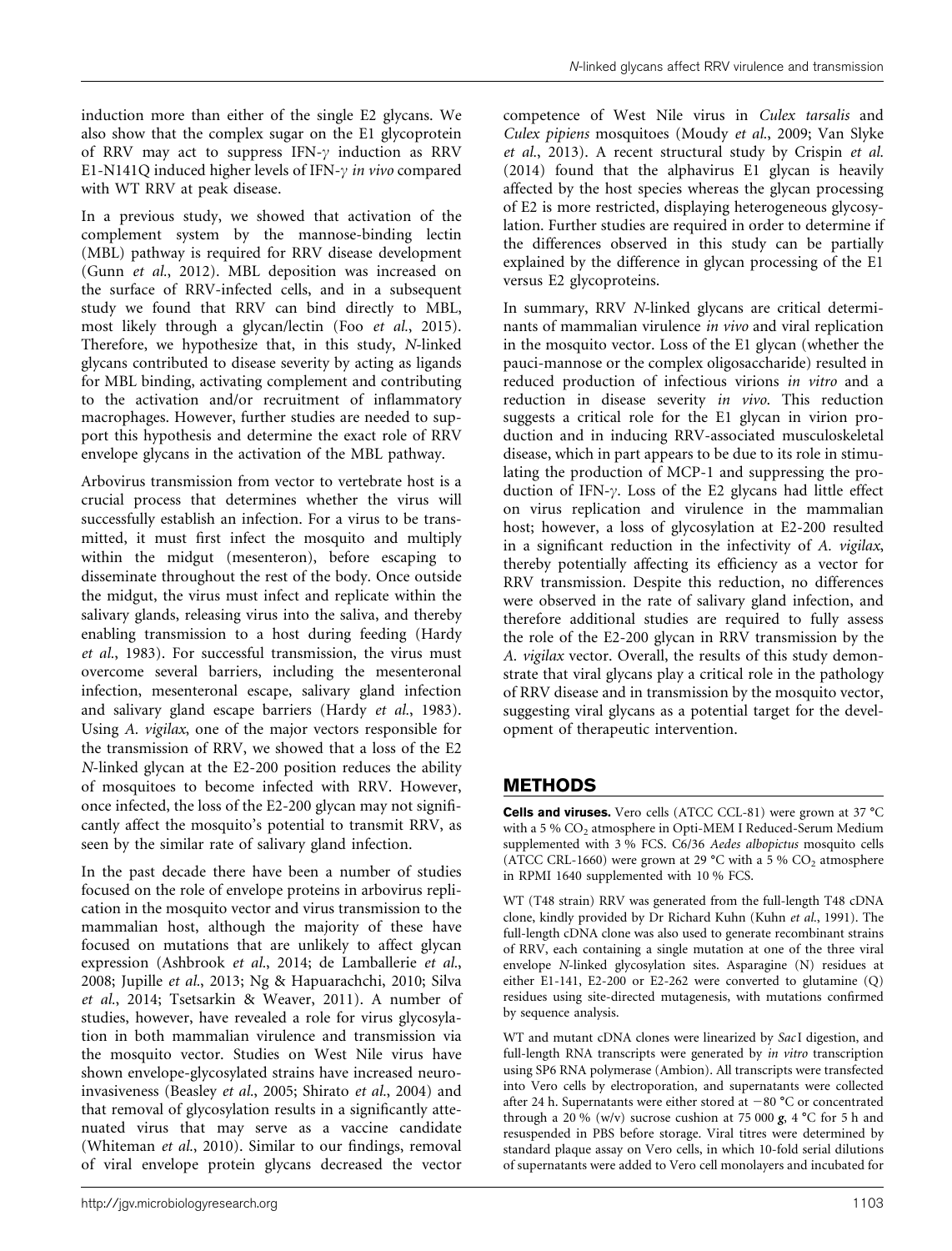induction more than either of the single E2 glycans. We also show that the complex sugar on the E1 glycoprotein of RRV may act to suppress IFN- $\gamma$  induction as RRV E1-N141O induced higher levels of IFN- $\nu$  in vivo compared with WT RRV at peak disease.

In a previous study, we showed that activation of the complement system by the mannose-binding lectin (MBL) pathway is required for RRV disease development (Gunn et al., 2012). MBL deposition was increased on the surface of RRV-infected cells, and in a subsequent study we found that RRV can bind directly to MBL, most likely through a glycan/lectin (Foo et al., 2015). Therefore, we hypothesize that, in this study, N-linked glycans contributed to disease severity by acting as ligands for MBL binding, activating complement and contributing to the activation and/or recruitment of inflammatory macrophages. However, further studies are needed to support this hypothesis and determine the exact role of RRV envelope glycans in the activation of the MBL pathway.

Arbovirus transmission from vector to vertebrate host is a crucial process that determines whether the virus will successfully establish an infection. For a virus to be transmitted, it must first infect the mosquito and multiply within the midgut (mesenteron), before escaping to disseminate throughout the rest of the body. Once outside the midgut, the virus must infect and replicate within the salivary glands, releasing virus into the saliva, and thereby enabling transmission to a host during feeding (Hardy et al., 1983). For successful transmission, the virus must overcome several barriers, including the mesenteronal infection, mesenteronal escape, salivary gland infection and salivary gland escape barriers (Hardy et al., 1983). Using A. vigilax, one of the major vectors responsible for the transmission of RRV, we showed that a loss of the E2 N-linked glycan at the E2-200 position reduces the ability of mosquitoes to become infected with RRV. However, once infected, the loss of the E2-200 glycan may not significantly affect the mosquito's potential to transmit RRV, as seen by the similar rate of salivary gland infection.

In the past decade there have been a number of studies focused on the role of envelope proteins in arbovirus replication in the mosquito vector and virus transmission to the mammalian host, although the majority of these have focused on mutations that are unlikely to affect glycan expression (Ashbrook et al., 2014; de Lamballerie et al., 2008; Jupille et al., 2013; Ng & Hapuarachchi, 2010; Silva et al., 2014; Tsetsarkin & Weaver, 2011). A number of studies, however, have revealed a role for virus glycosylation in both mammalian virulence and transmission via the mosquito vector. Studies on West Nile virus have shown envelope-glycosylated strains have increased neuroinvasiveness (Beasley et al., 2005; Shirato et al., 2004) and that removal of glycosylation results in a significantly attenuated virus that may serve as a vaccine candidate (Whiteman et al., 2010). Similar to our findings, removal of viral envelope protein glycans decreased the vector

competence of West Nile virus in Culex tarsalis and Culex pipiens mosquitoes (Moudy et al., 2009; Van Slyke et al., 2013). A recent structural study by Crispin et al. (2014) found that the alphavirus E1 glycan is heavily affected by the host species whereas the glycan processing of E2 is more restricted, displaying heterogeneous glycosylation. Further studies are required in order to determine if the differences observed in this study can be partially explained by the difference in glycan processing of the E1 versus E2 glycoproteins.

In summary, RRV N-linked glycans are critical determinants of mammalian virulence in vivo and viral replication in the mosquito vector. Loss of the E1 glycan (whether the pauci-mannose or the complex oligosaccharide) resulted in reduced production of infectious virions in vitro and a reduction in disease severity in vivo. This reduction suggests a critical role for the E1 glycan in virion production and in inducing RRV-associated musculoskeletal disease, which in part appears to be due to its role in stimulating the production of MCP-1 and suppressing the production of IFN- $\gamma$ . Loss of the E2 glycans had little effect on virus replication and virulence in the mammalian host; however, a loss of glycosylation at E2-200 resulted in a significant reduction in the infectivity of A. vigilax, thereby potentially affecting its efficiency as a vector for RRV transmission. Despite this reduction, no differences were observed in the rate of salivary gland infection, and therefore additional studies are required to fully assess the role of the E2-200 glycan in RRV transmission by the A. vigilax vector. Overall, the results of this study demonstrate that viral glycans play a critical role in the pathology of RRV disease and in transmission by the mosquito vector, suggesting viral glycans as a potential target for the development of therapeutic intervention.

## METHODS

**Cells and viruses.** Vero cells (ATCC CCL-81) were grown at  $37^{\circ}$ C with a 5 %  $CO<sub>2</sub>$  atmosphere in Opti-MEM I Reduced-Serum Medium supplemented with 3 % FCS. C6/36 Aedes albopictus mosquito cells (ATCC CRL-1660) were grown at 29  $^{\circ}$ C with a 5 % CO<sub>2</sub> atmosphere in RPMI 1640 supplemented with 10 % FCS.

WT (T48 strain) RRV was generated from the full-length T48 cDNA clone, kindly provided by Dr Richard Kuhn (Kuhn et al., 1991). The full-length cDNA clone was also used to generate recombinant strains of RRV, each containing a single mutation at one of the three viral envelope N-linked glycosylation sites. Asparagine (N) residues at either E1-141, E2-200 or E2-262 were converted to glutamine (Q) residues using site-directed mutagenesis, with mutations confirmed by sequence analysis.

WT and mutant cDNA clones were linearized by SacI digestion, and full-length RNA transcripts were generated by *in vitro* transcription using SP6 RNA polymerase (Ambion). All transcripts were transfected into Vero cells by electroporation, and supernatants were collected after 24 h. Supernatants were either stored at  $-80$  °C or concentrated through a 20 % (w/v) sucrose cushion at 75 000  $\mathbf{g}$ , 4 °C for 5 h and resuspended in PBS before storage. Viral titres were determined by standard plaque assay on Vero cells, in which 10-fold serial dilutions of supernatants were added to Vero cell monolayers and incubated for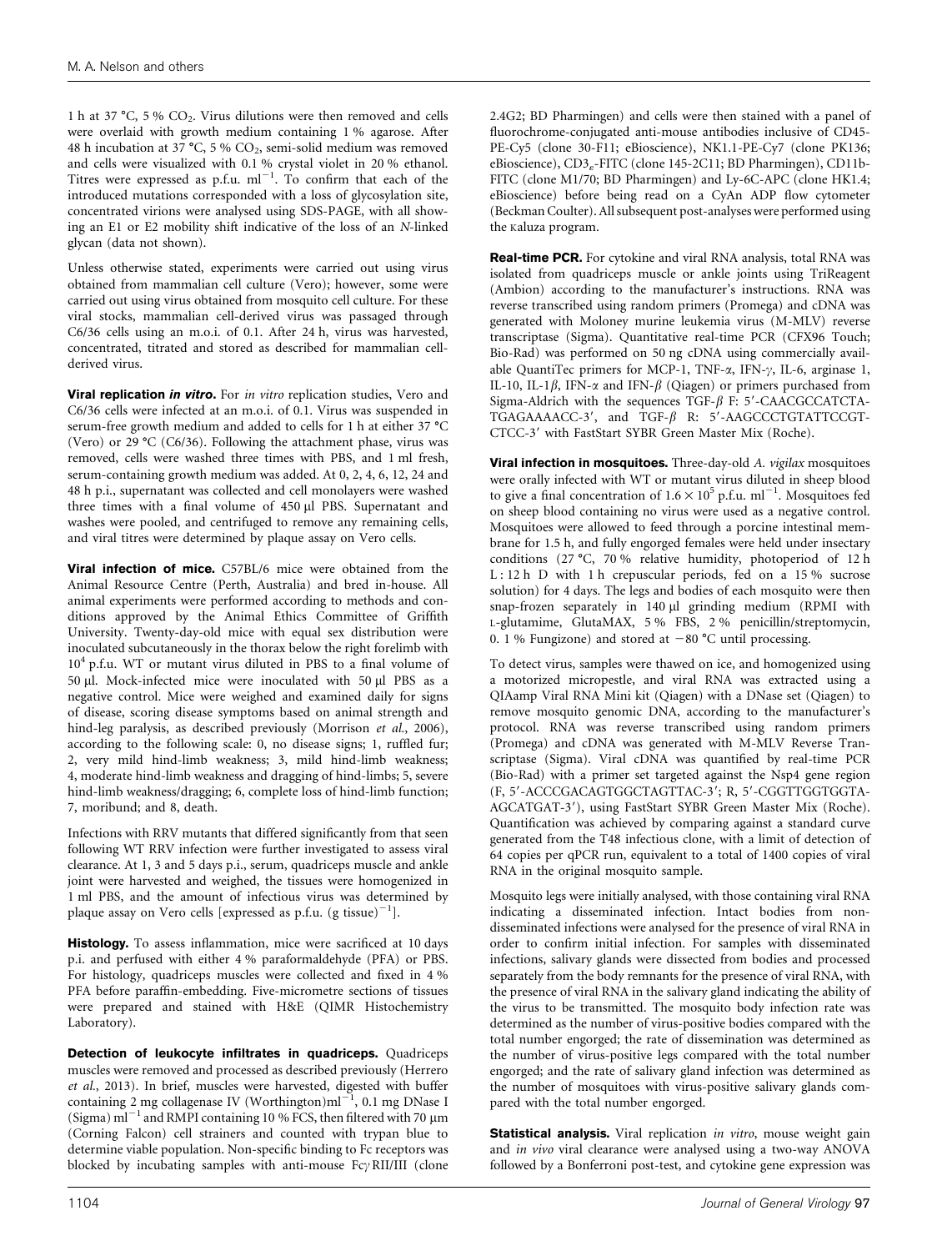1 h at 37 °C, 5 %  $CO<sub>2</sub>$ . Virus dilutions were then removed and cells were overlaid with growth medium containing 1 % agarose. After 48 h incubation at 37 °C, 5 %  $CO_2$ , semi-solid medium was removed and cells were visualized with 0.1 % crystal violet in 20 % ethanol.<br>Titres were expressed as  $p.f.u. ml^{-1}$ . To confirm that each of the introduced mutations corresponded with a loss of glycosylation site, concentrated virions were analysed using SDS-PAGE, with all showing an E1 or E2 mobility shift indicative of the loss of an N-linked glycan (data not shown).

Unless otherwise stated, experiments were carried out using virus obtained from mammalian cell culture (Vero); however, some were carried out using virus obtained from mosquito cell culture. For these viral stocks, mammalian cell-derived virus was passaged through C6/36 cells using an m.o.i. of 0.1. After 24 h, virus was harvested, concentrated, titrated and stored as described for mammalian cellderived virus.

**Viral replication in vitro.** For in vitro replication studies, Vero and C6/36 cells were infected at an m.o.i. of 0.1. Virus was suspended in serum-free growth medium and added to cells for 1 h at either 37  $^{\circ}$ C (Vero) or  $29 \text{ °C}$  (C6/36). Following the attachment phase, virus was removed, cells were washed three times with PBS, and 1 ml fresh, serum-containing growth medium was added. At 0, 2, 4, 6, 12, 24 and 48 h p.i., supernatant was collected and cell monolayers were washed three times with a final volume of 450 µl PBS. Supernatant and washes were pooled, and centrifuged to remove any remaining cells, and viral titres were determined by plaque assay on Vero cells.

Viral infection of mice. C57BL/6 mice were obtained from the Animal Resource Centre (Perth, Australia) and bred in-house. All animal experiments were performed according to methods and conditions approved by the Animal Ethics Committee of Griffith University. Twenty-day-old mice with equal sex distribution were inoculated subcutaneously in the thorax below the right forelimb with 10<sup>4</sup> p.f.u. WT or mutant virus diluted in PBS to a final volume of 50 µl. Mock-infected mice were inoculated with 50 µl PBS as a negative control. Mice were weighed and examined daily for signs of disease, scoring disease symptoms based on animal strength and hind-leg paralysis, as described previously (Morrison et al., 2006), according to the following scale: 0, no disease signs; 1, ruffled fur; 2, very mild hind-limb weakness; 3, mild hind-limb weakness; 4, moderate hind-limb weakness and dragging of hind-limbs; 5, severe hind-limb weakness/dragging; 6, complete loss of hind-limb function; 7, moribund; and 8, death.

Infections with RRV mutants that differed significantly from that seen following WT RRV infection were further investigated to assess viral clearance. At 1, 3 and 5 days p.i., serum, quadriceps muscle and ankle joint were harvested and weighed, the tissues were homogenized in 1 ml PBS, and the amount of infectious virus was determined by plaque assay on Vero cells [expressed as p.f.u.  $(g \text{ tissue})^{-1}$ ].

Histology. To assess inflammation, mice were sacrificed at 10 days p.i. and perfused with either 4 % paraformaldehyde (PFA) or PBS. For histology, quadriceps muscles were collected and fixed in 4 % PFA before paraffin-embedding. Five-micrometre sections of tissues were prepared and stained with H&E (QIMR Histochemistry Laboratory).

Detection of leukocyte infiltrates in quadriceps. Quadriceps muscles were removed and processed as described previously (Herrero *et al.*, 2013). In brief, muscles were harvested, digested with buffer containing 2 mg collagenase IV (Worthington)ml<sup>-1</sup>, 0.1 mg DNase I  $(Sigma)$  m<sub>g</sub>  $\sim$  m<sub>g</sub>  $\sim$  m<sub>g</sub>  $\sim$  m<sub>g</sub>  $\sim$  mg  $\sim$  mg  $\sim$  mg  $\sim$  mg  $\sim$  mg  $\sim$  mg  $\sim$  mg  $\sim$  mg  $\sim$  mg  $\sim$  mg  $\sim$  mg  $\sim$  mg  $\sim$  mg  $\sim$  mg  $\sim$  mg  $\sim$  mg  $\sim$  mg  $\sim$  mg  $\sim$  mg  $\sim$  mg  $\sim$  mg  $\sim$  mg  $\sim$ (Corning Falcon) cell strainers and counted with trypan blue to determine viable population. Non-specific binding to Fc receptors was blocked by incubating samples with anti-mouse  $Fc\gamma$  RII/III (clone

2.4G2; BD Pharmingen) and cells were then stained with a panel of fluorochrome-conjugated anti-mouse antibodies inclusive of CD45- PE-Cy5 (clone 30-F11; eBioscience), NK1.1-PE-Cy7 (clone PK136; eBioscience), CD3<sub>s</sub>-FITC (clone 145-2C11; BD Pharmingen), CD11b-FITC (clone M1/70; BD Pharmingen) and Ly-6C-APC (clone HK1.4; eBioscience) before being read on a CyAn ADP flow cytometer (Beckman Coulter). All subsequent post-analyses were performed using the Kaluza program.

Real-time PCR. For cytokine and viral RNA analysis, total RNA was isolated from quadriceps muscle or ankle joints using TriReagent (Ambion) according to the manufacturer's instructions. RNA was reverse transcribed using random primers (Promega) and cDNA was generated with Moloney murine leukemia virus (M-MLV) reverse transcriptase (Sigma). Quantitative real-time PCR (CFX96 Touch; Bio-Rad) was performed on 50 ng cDNA using commercially available QuantiTec primers for MCP-1, TNF- $\alpha$ , IFN- $\gamma$ , IL-6, arginase 1, IL-10, IL-1 $\beta$ , IFN- $\alpha$  and IFN- $\beta$  (Qiagen) or primers purchased from Sigma-Aldrich with the sequences TGF- $\beta$  F: 5'-CAACGCCATCTA-TGAGAAAACC-3', and TGF- $\beta$  R: 5'-AAGCCCTGTATTCCGT-CTCC-3' with FastStart SYBR Green Master Mix (Roche).

**Viral infection in mosquitoes.** Three-day-old A. vigilax mosquitoes were orally infected with WT or mutant virus diluted in sheep blood to give a final concentration of  $1.6 \times 10^5$  p.f.u. ml<sup>-1</sup>. Mosquitoes fed on sheep blood containing no virus were used as a negative control. Mosquitoes were allowed to feed through a porcine intestinal membrane for 1.5 h, and fully engorged females were held under insectary conditions (27 °C, 70 % relative humidity, photoperiod of 12 h L : 12 h D with 1 h crepuscular periods, fed on a 15 % sucrose solution) for 4 days. The legs and bodies of each mosquito were then snap-frozen separately in 140 µl grinding medium (RPMI with L-glutamime, GlutaMAX, 5 % FBS, 2 % penicillin/streptomycin, 0. 1 % Fungizone) and stored at  $-80$  °C until processing.

To detect virus, samples were thawed on ice, and homogenized using a motorized micropestle, and viral RNA was extracted using a QIAamp Viral RNA Mini kit (Qiagen) with a DNase set (Qiagen) to remove mosquito genomic DNA, according to the manufacturer's protocol. RNA was reverse transcribed using random primers (Promega) and cDNA was generated with M-MLV Reverse Transcriptase (Sigma). Viral cDNA was quantified by real-time PCR (Bio-Rad) with a primer set targeted against the Nsp4 gene region (F, 5'-ACCCGACAGTGGCTAGTTAC-3'; R, 5'-CGGTTGGTGGTA-AGCATGAT-3'), using FastStart SYBR Green Master Mix (Roche). Quantification was achieved by comparing against a standard curve generated from the T48 infectious clone, with a limit of detection of 64 copies per qPCR run, equivalent to a total of 1400 copies of viral RNA in the original mosquito sample.

Mosquito legs were initially analysed, with those containing viral RNA indicating a disseminated infection. Intact bodies from nondisseminated infections were analysed for the presence of viral RNA in order to confirm initial infection. For samples with disseminated infections, salivary glands were dissected from bodies and processed separately from the body remnants for the presence of viral RNA, with the presence of viral RNA in the salivary gland indicating the ability of the virus to be transmitted. The mosquito body infection rate was determined as the number of virus-positive bodies compared with the total number engorged; the rate of dissemination was determined as the number of virus-positive legs compared with the total number engorged; and the rate of salivary gland infection was determined as the number of mosquitoes with virus-positive salivary glands compared with the total number engorged.

Statistical analysis. Viral replication in vitro, mouse weight gain and in vivo viral clearance were analysed using a two-way ANOVA followed by a Bonferroni post-test, and cytokine gene expression was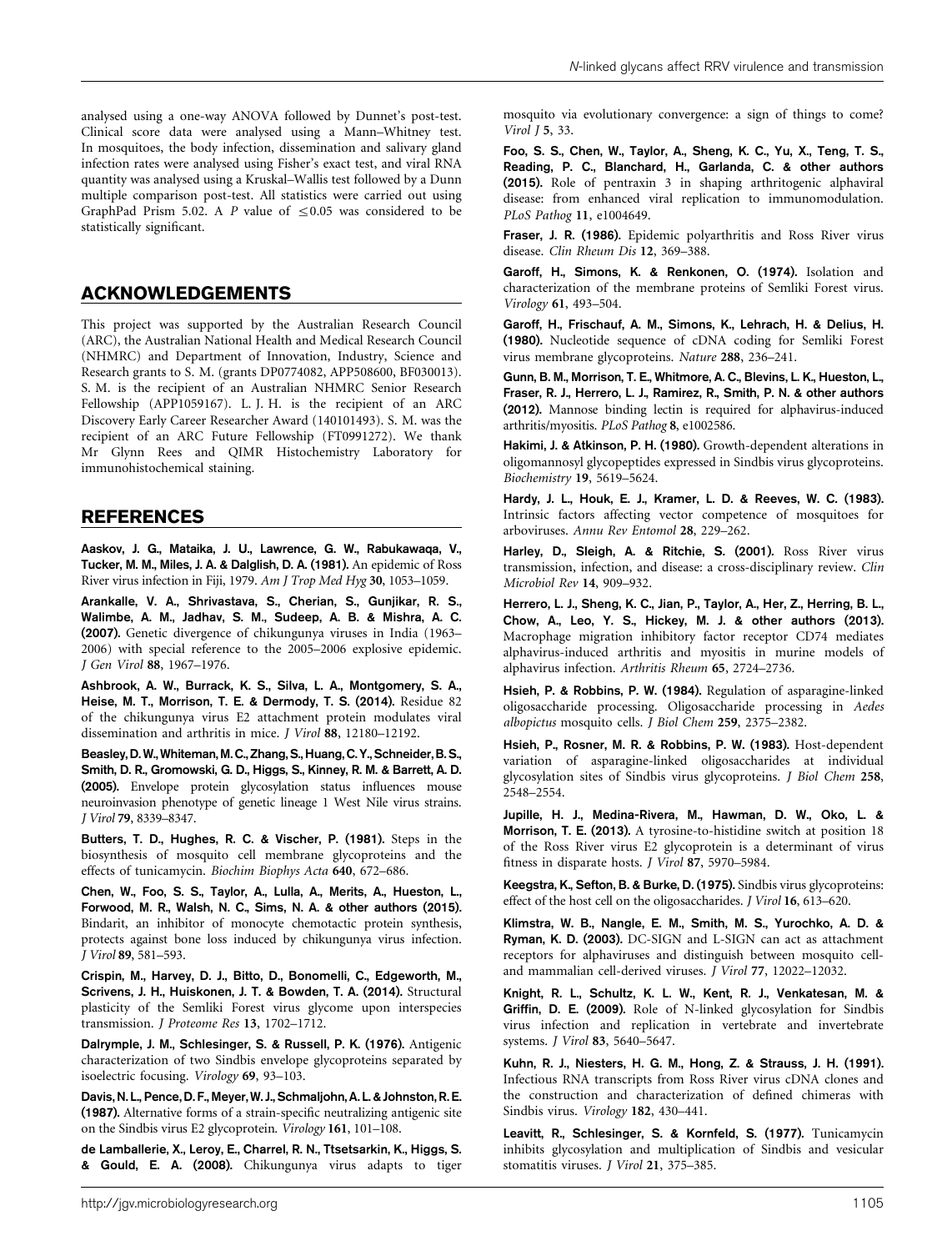#### ACKNOWLEDGEMENTS

This project was supported by the Australian Research Council (ARC), the Australian National Health and Medical Research Council (NHMRC) and Department of Innovation, Industry, Science and Research grants to S. M. (grants DP0774082, APP508600, BF030013). S. M. is the recipient of an Australian NHMRC Senior Research Fellowship (APP1059167). L. J. H. is the recipient of an ARC Discovery Early Career Researcher Award (140101493). S. M. was the recipient of an ARC Future Fellowship (FT0991272). We thank Mr Glynn Rees and QIMR Histochemistry Laboratory for immunohistochemical staining.

#### REFERENCES

Aaskov, J. G., Mataika, J. U., Lawrence, G. W., Rabukawaqa, V., Tucker, M. M., Miles, J. A. & Dalglish, D. A. (1981). An epidemic of Ross River virus infection in Fiji, 1979. Am J Trop Med Hyg 30, 1053–1059.

Arankalle, V. A., Shrivastava, S., Cherian, S., Gunjikar, R. S., Walimbe, A. M., Jadhav, S. M., Sudeep, A. B. & Mishra, A. C. (2007). Genetic divergence of chikungunya viruses in India (1963– 2006) with special reference to the 2005–2006 explosive epidemic. J Gen Virol 88, 1967–1976.

Ashbrook, A. W., Burrack, K. S., Silva, L. A., Montgomery, S. A., Heise, M. T., Morrison, T. E. & Dermody, T. S. (2014). Residue 82 of the chikungunya virus E2 attachment protein modulates viral dissemination and arthritis in mice. J Virol 88, 12180–12192.

Beasley, D. W., Whiteman, M. C., Zhang, S., Huang, C. Y., Schneider, B. S., Smith, D. R., Gromowski, G. D., Higgs, S., Kinney, R. M. & Barrett, A. D. (2005). Envelope protein glycosylation status influences mouse neuroinvasion phenotype of genetic lineage 1 West Nile virus strains. J Virol 79, 8339–8347.

Butters, T. D., Hughes, R. C. & Vischer, P. (1981). Steps in the biosynthesis of mosquito cell membrane glycoproteins and the effects of tunicamycin. Biochim Biophys Acta 640, 672–686.

Chen, W., Foo, S. S., Taylor, A., Lulla, A., Merits, A., Hueston, L., Forwood, M. R., Walsh, N. C., Sims, N. A. & other authors (2015). Bindarit, an inhibitor of monocyte chemotactic protein synthesis, protects against bone loss induced by chikungunya virus infection. J Virol 89, 581–593.

Crispin, M., Harvey, D. J., Bitto, D., Bonomelli, C., Edgeworth, M., Scrivens, J. H., Huiskonen, J. T. & Bowden, T. A. (2014). Structural plasticity of the Semliki Forest virus glycome upon interspecies transmission. J Proteome Res 13, 1702–1712.

Dalrymple, J. M., Schlesinger, S. & Russell, P. K. (1976). Antigenic characterization of two Sindbis envelope glycoproteins separated by isoelectric focusing. Virology 69, 93–103.

Davis, N. L., Pence, D. F., Meyer, W. J., Schmaljohn, A. L. & Johnston, R. E. (1987). Alternative forms of a strain-specific neutralizing antigenic site on the Sindbis virus E2 glycoprotein. Virology 161, 101–108.

de Lamballerie, X., Leroy, E., Charrel, R. N., Ttsetsarkin, K., Higgs, S. & Gould, E. A. (2008). Chikungunya virus adapts to tiger mosquito via evolutionary convergence: a sign of things to come? Virol J 5, 33.

Foo, S. S., Chen, W., Taylor, A., Sheng, K. C., Yu, X., Teng, T. S., Reading, P. C., Blanchard, H., Garlanda, C. & other authors (2015). Role of pentraxin 3 in shaping arthritogenic alphaviral disease: from enhanced viral replication to immunomodulation. PLoS Pathog 11, e1004649.

Fraser, J. R. (1986). Epidemic polyarthritis and Ross River virus disease. Clin Rheum Dis 12, 369–388.

Garoff, H., Simons, K. & Renkonen, O. (1974). Isolation and characterization of the membrane proteins of Semliki Forest virus. Virology 61, 493–504.

Garoff, H., Frischauf, A. M., Simons, K., Lehrach, H. & Delius, H. (1980). Nucleotide sequence of cDNA coding for Semliki Forest virus membrane glycoproteins. Nature 288, 236–241.

Gunn, B. M., Morrison, T. E., Whitmore, A. C., Blevins, L. K., Hueston, L., Fraser, R. J., Herrero, L. J., Ramirez, R., Smith, P. N. & other authors (2012). Mannose binding lectin is required for alphavirus-induced arthritis/myositis. PLoS Pathog 8, e1002586.

Hakimi, J. & Atkinson, P. H. (1980). Growth-dependent alterations in oligomannosyl glycopeptides expressed in Sindbis virus glycoproteins. Biochemistry 19, 5619–5624.

Hardy, J. L., Houk, E. J., Kramer, L. D. & Reeves, W. C. (1983). Intrinsic factors affecting vector competence of mosquitoes for arboviruses. Annu Rev Entomol 28, 229–262.

Harley, D., Sleigh, A. & Ritchie, S. (2001). Ross River virus transmission, infection, and disease: a cross-disciplinary review. Clin Microbiol Rev 14, 909–932.

Herrero, L. J., Sheng, K. C., Jian, P., Taylor, A., Her, Z., Herring, B. L., Chow, A., Leo, Y. S., Hickey, M. J. & other authors (2013). Macrophage migration inhibitory factor receptor CD74 mediates alphavirus-induced arthritis and myositis in murine models of alphavirus infection. Arthritis Rheum 65, 2724–2736.

Hsieh, P. & Robbins, P. W. (1984). Regulation of asparagine-linked oligosaccharide processing. Oligosaccharide processing in Aedes albopictus mosquito cells. J Biol Chem 259, 2375–2382.

Hsieh, P., Rosner, M. R. & Robbins, P. W. (1983). Host-dependent variation of asparagine-linked oligosaccharides at individual glycosylation sites of Sindbis virus glycoproteins. J Biol Chem 258, 2548–2554.

Jupille, H. J., Medina-Rivera, M., Hawman, D. W., Oko, L. & Morrison, T. E. (2013). A tyrosine-to-histidine switch at position 18 of the Ross River virus E2 glycoprotein is a determinant of virus fitness in disparate hosts. J Virol 87, 5970–5984.

Keegstra, K., Sefton, B. & Burke, D. (1975). Sindbis virus glycoproteins: effect of the host cell on the oligosaccharides. J Virol 16, 613–620.

Klimstra, W. B., Nangle, E. M., Smith, M. S., Yurochko, A. D. & Ryman, K. D. (2003). DC-SIGN and L-SIGN can act as attachment receptors for alphaviruses and distinguish between mosquito celland mammalian cell-derived viruses. J Virol 77, 12022–12032.

Knight, R. L., Schultz, K. L. W., Kent, R. J., Venkatesan, M. & Griffin, D. E. (2009). Role of N-linked glycosylation for Sindbis virus infection and replication in vertebrate and invertebrate systems. J Virol 83, 5640–5647.

Kuhn, R. J., Niesters, H. G. M., Hong, Z. & Strauss, J. H. (1991). Infectious RNA transcripts from Ross River virus cDNA clones and the construction and characterization of defined chimeras with Sindbis virus. Virology 182, 430–441.

Leavitt, R., Schlesinger, S. & Kornfeld, S. (1977). Tunicamycin inhibits glycosylation and multiplication of Sindbis and vesicular stomatitis viruses. J Virol 21, 375–385.